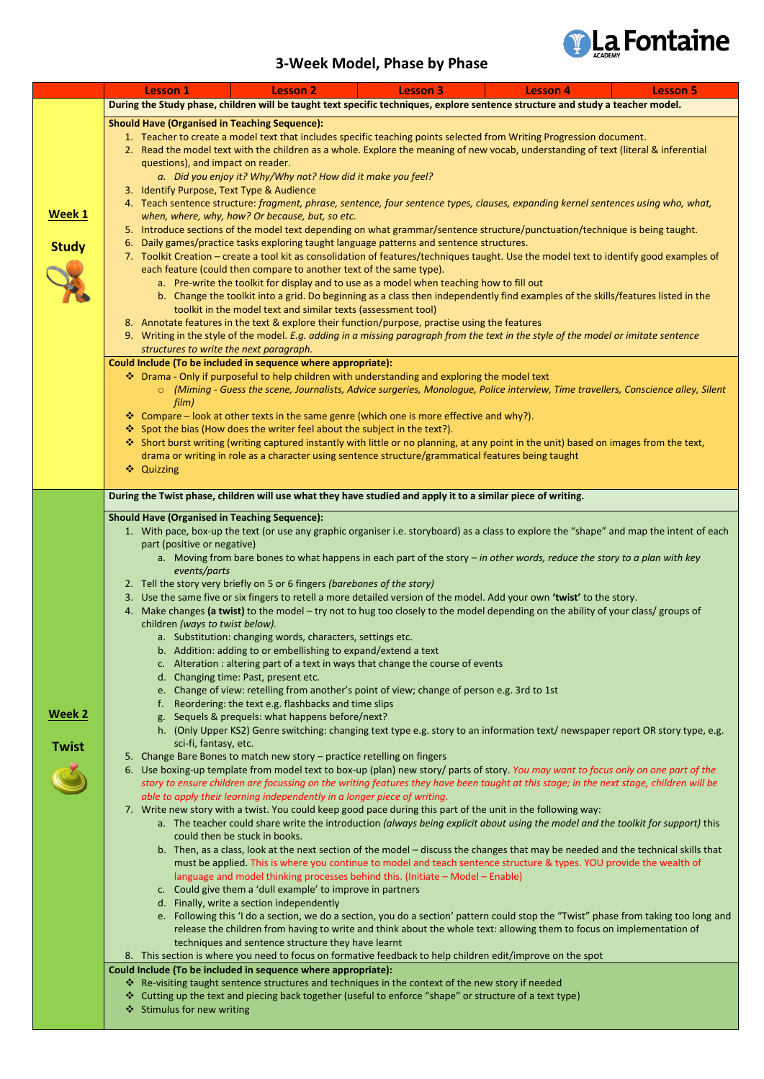

## **3-Week Model, Phase by Phase**

|               |                                                                                                                                                                                                                                                                                | <b>Lesson 1</b>                                                                                                                                                                 | <b>Lesson 2</b>                                                                                    | <b>Lesson 3</b> | <b>Lesson 4</b>                                                                                                                                                                                                                                              | <b>Lesson 5</b> |  |  |
|---------------|--------------------------------------------------------------------------------------------------------------------------------------------------------------------------------------------------------------------------------------------------------------------------------|---------------------------------------------------------------------------------------------------------------------------------------------------------------------------------|----------------------------------------------------------------------------------------------------|-----------------|--------------------------------------------------------------------------------------------------------------------------------------------------------------------------------------------------------------------------------------------------------------|-----------------|--|--|
|               |                                                                                                                                                                                                                                                                                |                                                                                                                                                                                 |                                                                                                    |                 | During the Study phase, children will be taught text specific techniques, explore sentence structure and study a teacher model.                                                                                                                              |                 |  |  |
|               |                                                                                                                                                                                                                                                                                | <b>Should Have (Organised in Teaching Sequence):</b>                                                                                                                            |                                                                                                    |                 |                                                                                                                                                                                                                                                              |                 |  |  |
|               | 1. Teacher to create a model text that includes specific teaching points selected from Writing Progression document.                                                                                                                                                           |                                                                                                                                                                                 |                                                                                                    |                 |                                                                                                                                                                                                                                                              |                 |  |  |
|               | 2. Read the model text with the children as a whole. Explore the meaning of new vocab, understanding of text (literal & inferential<br>questions), and impact on reader.<br>a. Did you enjoy it? Why/Why not? How did it make you feel?                                        |                                                                                                                                                                                 |                                                                                                    |                 |                                                                                                                                                                                                                                                              |                 |  |  |
|               |                                                                                                                                                                                                                                                                                |                                                                                                                                                                                 |                                                                                                    |                 |                                                                                                                                                                                                                                                              |                 |  |  |
|               |                                                                                                                                                                                                                                                                                |                                                                                                                                                                                 |                                                                                                    |                 |                                                                                                                                                                                                                                                              |                 |  |  |
|               |                                                                                                                                                                                                                                                                                |                                                                                                                                                                                 | 3. Identify Purpose, Text Type & Audience                                                          |                 |                                                                                                                                                                                                                                                              |                 |  |  |
|               | 4. Teach sentence structure: fragment, phrase, sentence, four sentence types, clauses, expanding kernel sentences using who, what,                                                                                                                                             |                                                                                                                                                                                 |                                                                                                    |                 |                                                                                                                                                                                                                                                              |                 |  |  |
| Week 1        | when, where, why, how? Or because, but, so etc.                                                                                                                                                                                                                                |                                                                                                                                                                                 |                                                                                                    |                 |                                                                                                                                                                                                                                                              |                 |  |  |
|               |                                                                                                                                                                                                                                                                                | 5. Introduce sections of the model text depending on what grammar/sentence structure/punctuation/technique is being taught.                                                     |                                                                                                    |                 |                                                                                                                                                                                                                                                              |                 |  |  |
| <b>Study</b>  |                                                                                                                                                                                                                                                                                | 6. Daily games/practice tasks exploring taught language patterns and sentence structures.                                                                                       |                                                                                                    |                 |                                                                                                                                                                                                                                                              |                 |  |  |
|               |                                                                                                                                                                                                                                                                                |                                                                                                                                                                                 |                                                                                                    |                 | 7. Toolkit Creation – create a tool kit as consolidation of features/techniques taught. Use the model text to identify good examples of                                                                                                                      |                 |  |  |
|               | each feature (could then compare to another text of the same type).                                                                                                                                                                                                            |                                                                                                                                                                                 |                                                                                                    |                 |                                                                                                                                                                                                                                                              |                 |  |  |
|               | a. Pre-write the toolkit for display and to use as a model when teaching how to fill out                                                                                                                                                                                       |                                                                                                                                                                                 |                                                                                                    |                 |                                                                                                                                                                                                                                                              |                 |  |  |
|               | b. Change the toolkit into a grid. Do beginning as a class then independently find examples of the skills/features listed in the<br>toolkit in the model text and similar texts (assessment tool)                                                                              |                                                                                                                                                                                 |                                                                                                    |                 |                                                                                                                                                                                                                                                              |                 |  |  |
|               |                                                                                                                                                                                                                                                                                |                                                                                                                                                                                 |                                                                                                    |                 |                                                                                                                                                                                                                                                              |                 |  |  |
|               |                                                                                                                                                                                                                                                                                |                                                                                                                                                                                 | 8. Annotate features in the text & explore their function/purpose, practise using the features     |                 |                                                                                                                                                                                                                                                              |                 |  |  |
|               |                                                                                                                                                                                                                                                                                | 9. Writing in the style of the model. E.g. adding in a missing paragraph from the text in the style of the model or imitate sentence<br>structures to write the next paragraph. |                                                                                                    |                 |                                                                                                                                                                                                                                                              |                 |  |  |
|               |                                                                                                                                                                                                                                                                                | Could Include (To be included in sequence where appropriate):                                                                                                                   |                                                                                                    |                 |                                                                                                                                                                                                                                                              |                 |  |  |
|               |                                                                                                                                                                                                                                                                                | ❖ Drama - Only if purposeful to help children with understanding and exploring the model text                                                                                   |                                                                                                    |                 |                                                                                                                                                                                                                                                              |                 |  |  |
|               |                                                                                                                                                                                                                                                                                |                                                                                                                                                                                 |                                                                                                    |                 | ○ (Miming - Guess the scene, Journalists, Advice surgeries, Monologue, Police interview, Time travellers, Conscience alley, Silent                                                                                                                           |                 |  |  |
|               |                                                                                                                                                                                                                                                                                | film)                                                                                                                                                                           |                                                                                                    |                 |                                                                                                                                                                                                                                                              |                 |  |  |
|               |                                                                                                                                                                                                                                                                                |                                                                                                                                                                                 | ❖ Compare – look at other texts in the same genre (which one is more effective and why?).          |                 |                                                                                                                                                                                                                                                              |                 |  |  |
|               |                                                                                                                                                                                                                                                                                |                                                                                                                                                                                 | ❖ Spot the bias (How does the writer feel about the subject in the text?).                         |                 |                                                                                                                                                                                                                                                              |                 |  |  |
|               |                                                                                                                                                                                                                                                                                |                                                                                                                                                                                 |                                                                                                    |                 | * Short burst writing (writing captured instantly with little or no planning, at any point in the unit) based on images from the text,                                                                                                                       |                 |  |  |
|               |                                                                                                                                                                                                                                                                                |                                                                                                                                                                                 | drama or writing in role as a character using sentence structure/grammatical features being taught |                 |                                                                                                                                                                                                                                                              |                 |  |  |
|               |                                                                                                                                                                                                                                                                                | ❖ Quizzing                                                                                                                                                                      |                                                                                                    |                 |                                                                                                                                                                                                                                                              |                 |  |  |
|               |                                                                                                                                                                                                                                                                                |                                                                                                                                                                                 |                                                                                                    |                 |                                                                                                                                                                                                                                                              |                 |  |  |
|               | During the Twist phase, children will use what they have studied and apply it to a similar piece of writing.                                                                                                                                                                   |                                                                                                                                                                                 |                                                                                                    |                 |                                                                                                                                                                                                                                                              |                 |  |  |
|               | <b>Should Have (Organised in Teaching Sequence):</b>                                                                                                                                                                                                                           |                                                                                                                                                                                 |                                                                                                    |                 |                                                                                                                                                                                                                                                              |                 |  |  |
|               | 1. With pace, box-up the text (or use any graphic organiser i.e. storyboard) as a class to explore the "shape" and map the intent of each                                                                                                                                      |                                                                                                                                                                                 |                                                                                                    |                 |                                                                                                                                                                                                                                                              |                 |  |  |
|               |                                                                                                                                                                                                                                                                                | part (positive or negative)                                                                                                                                                     |                                                                                                    |                 |                                                                                                                                                                                                                                                              |                 |  |  |
|               |                                                                                                                                                                                                                                                                                |                                                                                                                                                                                 |                                                                                                    |                 | a. Moving from bare bones to what happens in each part of the story - in other words, reduce the story to a plan with key                                                                                                                                    |                 |  |  |
|               |                                                                                                                                                                                                                                                                                | events/parts                                                                                                                                                                    |                                                                                                    |                 |                                                                                                                                                                                                                                                              |                 |  |  |
|               |                                                                                                                                                                                                                                                                                |                                                                                                                                                                                 | 2. Tell the story very briefly on 5 or 6 fingers (barebones of the story)                          |                 |                                                                                                                                                                                                                                                              |                 |  |  |
|               |                                                                                                                                                                                                                                                                                |                                                                                                                                                                                 |                                                                                                    |                 | 3. Use the same five or six fingers to retell a more detailed version of the model. Add your own 'twist' to the story.<br>4. Make changes (a twist) to the model - try not to hug too closely to the model depending on the ability of your class/ groups of |                 |  |  |
|               |                                                                                                                                                                                                                                                                                | children (ways to twist below).                                                                                                                                                 |                                                                                                    |                 |                                                                                                                                                                                                                                                              |                 |  |  |
|               |                                                                                                                                                                                                                                                                                |                                                                                                                                                                                 | a. Substitution: changing words, characters, settings etc.                                         |                 |                                                                                                                                                                                                                                                              |                 |  |  |
|               |                                                                                                                                                                                                                                                                                |                                                                                                                                                                                 | b. Addition: adding to or embellishing to expand/extend a text                                     |                 |                                                                                                                                                                                                                                                              |                 |  |  |
|               |                                                                                                                                                                                                                                                                                |                                                                                                                                                                                 | c. Alteration : altering part of a text in ways that change the course of events                   |                 |                                                                                                                                                                                                                                                              |                 |  |  |
|               |                                                                                                                                                                                                                                                                                |                                                                                                                                                                                 | d. Changing time: Past, present etc.                                                               |                 |                                                                                                                                                                                                                                                              |                 |  |  |
|               |                                                                                                                                                                                                                                                                                |                                                                                                                                                                                 | e. Change of view: retelling from another's point of view; change of person e.g. 3rd to 1st        |                 |                                                                                                                                                                                                                                                              |                 |  |  |
|               |                                                                                                                                                                                                                                                                                |                                                                                                                                                                                 | f. Reordering: the text e.g. flashbacks and time slips                                             |                 |                                                                                                                                                                                                                                                              |                 |  |  |
| <u>Week 2</u> |                                                                                                                                                                                                                                                                                |                                                                                                                                                                                 | g. Sequels & prequels: what happens before/next?                                                   |                 |                                                                                                                                                                                                                                                              |                 |  |  |
|               |                                                                                                                                                                                                                                                                                |                                                                                                                                                                                 |                                                                                                    |                 | h. (Only Upper KS2) Genre switching: changing text type e.g. story to an information text/newspaper report OR story type, e.g.                                                                                                                               |                 |  |  |
| <b>Twist</b>  |                                                                                                                                                                                                                                                                                | sci-fi, fantasy, etc.                                                                                                                                                           |                                                                                                    |                 |                                                                                                                                                                                                                                                              |                 |  |  |
|               |                                                                                                                                                                                                                                                                                |                                                                                                                                                                                 | 5. Change Bare Bones to match new story - practice retelling on fingers                            |                 |                                                                                                                                                                                                                                                              |                 |  |  |
|               | 6. Use boxing-up template from model text to box-up (plan) new story/ parts of story. You may want to focus only on one part of the<br>story to ensure children are focussing on the writing features they have been taught at this stage; in the next stage, children will be |                                                                                                                                                                                 |                                                                                                    |                 |                                                                                                                                                                                                                                                              |                 |  |  |
|               |                                                                                                                                                                                                                                                                                |                                                                                                                                                                                 |                                                                                                    |                 |                                                                                                                                                                                                                                                              |                 |  |  |
|               | able to apply their learning independently in a longer piece of writing.<br>7. Write new story with a twist. You could keep good pace during this part of the unit in the following way:                                                                                       |                                                                                                                                                                                 |                                                                                                    |                 |                                                                                                                                                                                                                                                              |                 |  |  |
|               |                                                                                                                                                                                                                                                                                |                                                                                                                                                                                 |                                                                                                    |                 |                                                                                                                                                                                                                                                              |                 |  |  |

- a. The teacher could share write the introduction *(always being explicit about using the model and the toolkit for support)* this could then be stuck in books.
- b. Then, as a class, look at the next section of the model discuss the changes that may be needed and the technical skills that must be applied. This is where you continue to model and teach sentence structure & types. YOU provide the wealth of language and model thinking processes behind this. (Initiate – Model – Enable)
- c. Could give them a 'dull example' to improve in partners
- d. Finally, write a section independently
- e. Following this 'I do a section, we do a section, you do a section' pattern could stop the "Twist" phase from taking too long and release the children from having to write and think about the whole text: allowing them to focus on implementation of techniques and sentence structure they have learnt
- 8. This section is where you need to focus on formative feedback to help children edit/improve on the spot

## **Could Include (To be included in sequence where appropriate):**

- \* Re-visiting taught sentence structures and techniques in the context of the new story if needed
- Cutting up the text and piecing back together (useful to enforce "shape" or structure of a text type)
- Stimulus for new writing